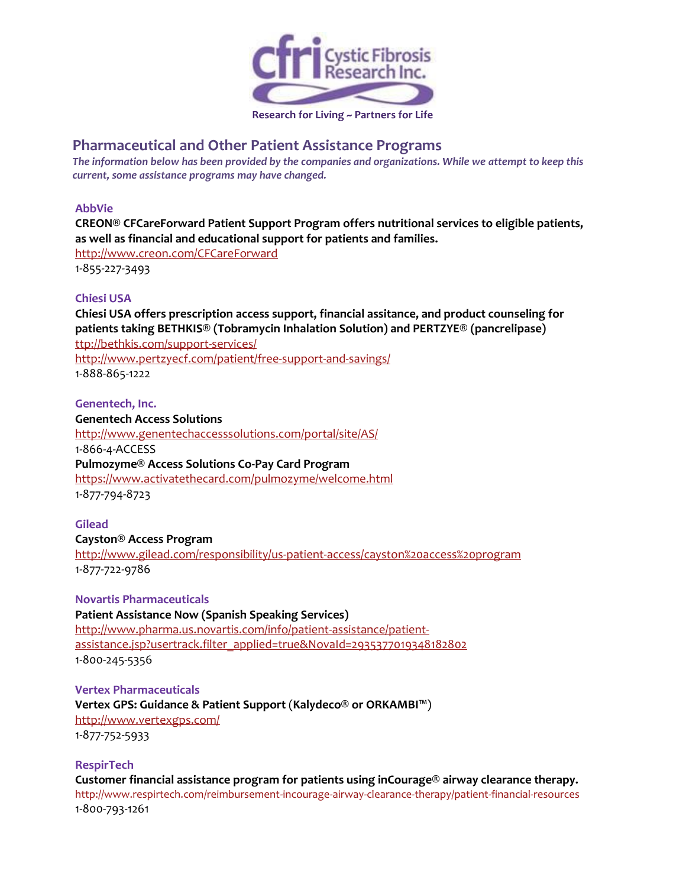

# **Pharmaceutical and Other Patient Assistance Programs**

*The information below has been provided by the companies and organizations. While we attempt to keep this current, some assistance programs may have changed.*

## **AbbVie**

**CREON® CFCareForward Patient Support Program offers nutritional services to eligible patients, as well as financial and educational support for patients and families.**

<http://www.creon.com/CFCareForward> 1-855-227-3493

## **Chiesi USA**

**Chiesi USA offers prescription access support, financial assitance, and product counseling for patients taking BETHKIS® (Tobramycin Inhalation Solution) and PERTZYE® (pancrelipase)** [ttp://bethkis.com/support-services/](http://bethkis.com/support-services/) http://www.pertzyecf.com/patient/free-support-and-savings/ 1-888-865-1222

**Genentech, Inc.**

**Genentech Access Solutions** <http://www.genentechaccesssolutions.com/portal/site/AS/> 1-866-4-ACCESS **Pulmozyme® Access Solutions Co-Pay Card Program** <https://www.activatethecard.com/pulmozyme/welcome.html> 1-877-794-8723

## **Gilead**

#### **Cayston® Access Program**

<http://www.gilead.com/responsibility/us-patient-access/cayston%20access%20program> 1-877-722-9786

## **Novartis Pharmaceuticals**

**Patient Assistance Now (Spanish Speaking Services)**

[http://www.pharma.us.novartis.com/info/patient-assistance/patient](http://www.patientassistancenow.com/index.jsp?source=01150&creative=na&placement=na&campaign=na&site=adv)[assistance.jsp?usertrack.filter\\_applied=true&NovaId=2935377019348182802](http://www.patientassistancenow.com/index.jsp?source=01150&creative=na&placement=na&campaign=na&site=adv) 1-800-245-5356

## **Vertex Pharmaceuticals Vertex GPS: Guidance & Patient Support** (**Kalydeco® or ORKAMBI™**) <http://www.vertexgps.com/>

1-877-752-5933

## **RespirTech**

**Customer financial assistance program for patients using inCourage® airway clearance therapy.** <http://www.respirtech.com/reimbursement-incourage-airway-clearance-therapy/patient-financial-resources> 1-800-793-1261